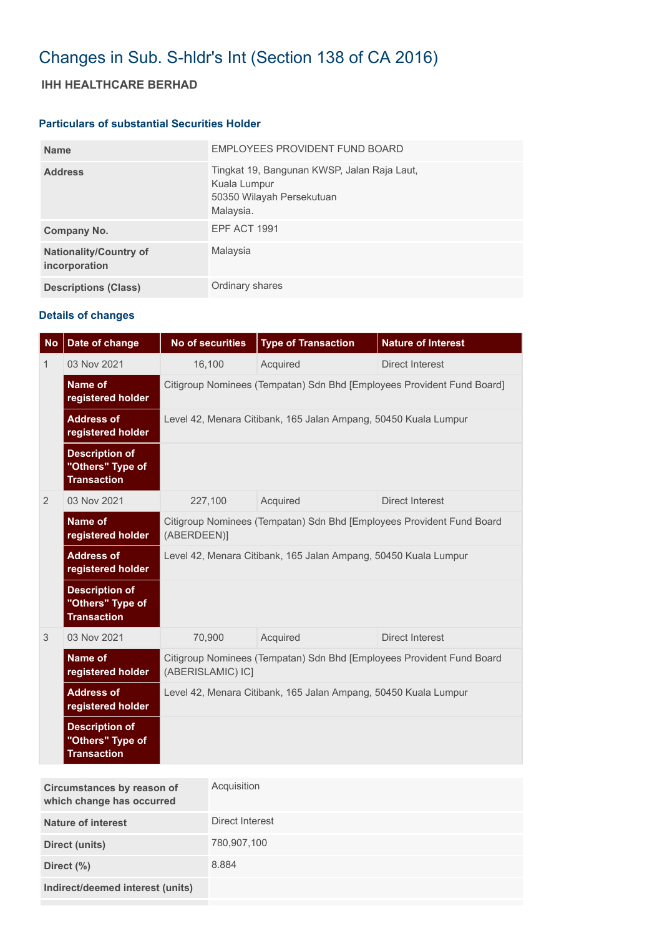## Changes in Sub. S-hldr's Int (Section 138 of CA 2016)

## **IHH HEALTHCARE BERHAD**

## **Particulars of substantial Securities Holder**

| <b>Name</b>                                    | EMPLOYEES PROVIDENT FUND BOARD                                                                        |
|------------------------------------------------|-------------------------------------------------------------------------------------------------------|
| <b>Address</b>                                 | Tingkat 19, Bangunan KWSP, Jalan Raja Laut,<br>Kuala Lumpur<br>50350 Wilayah Persekutuan<br>Malaysia. |
| Company No.                                    | <b>EPF ACT 1991</b>                                                                                   |
| <b>Nationality/Country of</b><br>incorporation | Malaysia                                                                                              |
| <b>Descriptions (Class)</b>                    | Ordinary shares                                                                                       |

## **Details of changes**

| <b>No</b>    | Date of change                                                  | <b>No of securities</b>                                                                    | <b>Type of Transaction</b> | <b>Nature of Interest</b> |  |
|--------------|-----------------------------------------------------------------|--------------------------------------------------------------------------------------------|----------------------------|---------------------------|--|
| $\mathbf{1}$ | 03 Nov 2021                                                     | 16,100                                                                                     | Acquired                   | <b>Direct Interest</b>    |  |
|              | Name of<br>registered holder                                    | Citigroup Nominees (Tempatan) Sdn Bhd [Employees Provident Fund Board]                     |                            |                           |  |
|              | <b>Address of</b><br>registered holder                          | Level 42, Menara Citibank, 165 Jalan Ampang, 50450 Kuala Lumpur                            |                            |                           |  |
|              | <b>Description of</b><br>"Others" Type of<br><b>Transaction</b> |                                                                                            |                            |                           |  |
| 2            | 03 Nov 2021                                                     | 227,100                                                                                    | Acquired                   | <b>Direct Interest</b>    |  |
|              | <b>Name of</b><br>registered holder                             | Citigroup Nominees (Tempatan) Sdn Bhd [Employees Provident Fund Board<br>(ABERDEEN)]       |                            |                           |  |
|              | <b>Address of</b><br>registered holder                          | Level 42, Menara Citibank, 165 Jalan Ampang, 50450 Kuala Lumpur                            |                            |                           |  |
|              | <b>Description of</b><br>"Others" Type of<br><b>Transaction</b> |                                                                                            |                            |                           |  |
| 3            | 03 Nov 2021                                                     | 70,900                                                                                     | Acquired                   | Direct Interest           |  |
|              | Name of<br>registered holder                                    | Citigroup Nominees (Tempatan) Sdn Bhd [Employees Provident Fund Board<br>(ABERISLAMIC) IC] |                            |                           |  |
|              | <b>Address of</b><br>registered holder                          | Level 42, Menara Citibank, 165 Jalan Ampang, 50450 Kuala Lumpur                            |                            |                           |  |
|              | <b>Description of</b><br>"Others" Type of<br><b>Transaction</b> |                                                                                            |                            |                           |  |

| Circumstances by reason of<br>which change has occurred | Acquisition     |
|---------------------------------------------------------|-----------------|
| <b>Nature of interest</b>                               | Direct Interest |
| Direct (units)                                          | 780,907,100     |
| Direct $(\%)$                                           | 8.884           |
| Indirect/deemed interest (units)                        |                 |